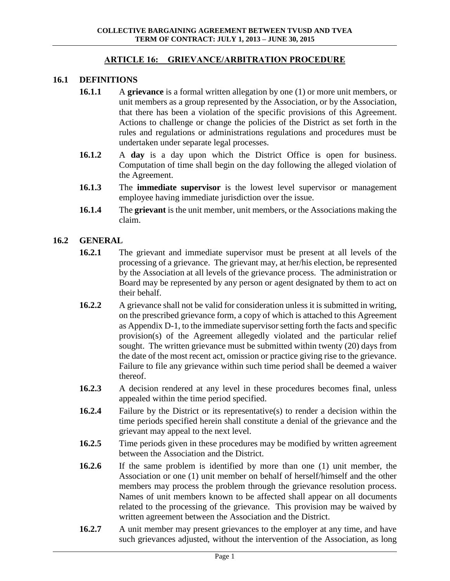#### **ARTICLE 16: GRIEVANCE/ARBITRATION PROCEDURE**

#### **16.1 DEFINITIONS**

- **16.1.1** A **grievance** is a formal written allegation by one (1) or more unit members, or unit members as a group represented by the Association, or by the Association, that there has been a violation of the specific provisions of this Agreement. Actions to challenge or change the policies of the District as set forth in the rules and regulations or administrations regulations and procedures must be undertaken under separate legal processes.
- **16.1.2** A **day** is a day upon which the District Office is open for business. Computation of time shall begin on the day following the alleged violation of the Agreement.
- **16.1.3** The **immediate supervisor** is the lowest level supervisor or management employee having immediate jurisdiction over the issue.
- **16.1.4** The **grievant** is the unit member, unit members, or the Associations making the claim.

#### **16.2 GENERAL**

- **16.2.1** The grievant and immediate supervisor must be present at all levels of the processing of a grievance. The grievant may, at her/his election, be represented by the Association at all levels of the grievance process. The administration or Board may be represented by any person or agent designated by them to act on their behalf.
- **16.2.2** A grievance shall not be valid for consideration unless it is submitted in writing, on the prescribed grievance form, a copy of which is attached to this Agreement as Appendix D-1, to the immediate supervisor setting forth the facts and specific provision(s) of the Agreement allegedly violated and the particular relief sought. The written grievance must be submitted within twenty (20) days from the date of the most recent act, omission or practice giving rise to the grievance. Failure to file any grievance within such time period shall be deemed a waiver thereof.
- **16.2.3** A decision rendered at any level in these procedures becomes final, unless appealed within the time period specified.
- **16.2.4** Failure by the District or its representative(s) to render a decision within the time periods specified herein shall constitute a denial of the grievance and the grievant may appeal to the next level.
- **16.2.5** Time periods given in these procedures may be modified by written agreement between the Association and the District.
- **16.2.6** If the same problem is identified by more than one (1) unit member, the Association or one (1) unit member on behalf of herself/himself and the other members may process the problem through the grievance resolution process. Names of unit members known to be affected shall appear on all documents related to the processing of the grievance. This provision may be waived by written agreement between the Association and the District.
- **16.2.7** A unit member may present grievances to the employer at any time, and have such grievances adjusted, without the intervention of the Association, as long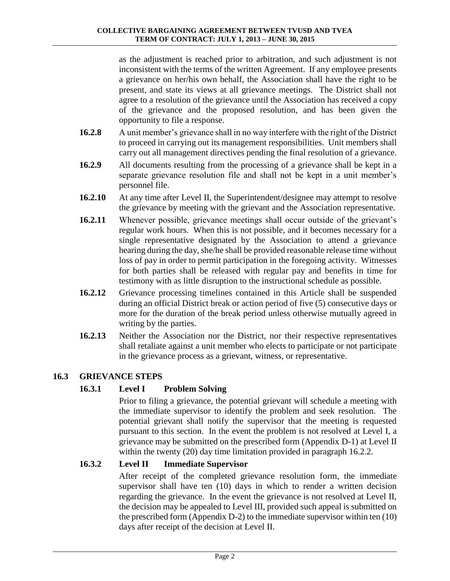as the adjustment is reached prior to arbitration, and such adjustment is not inconsistent with the terms of the written Agreement. If any employee presents a grievance on her/his own behalf, the Association shall have the right to be present, and state its views at all grievance meetings. The District shall not agree to a resolution of the grievance until the Association has received a copy of the grievance and the proposed resolution, and has been given the opportunity to file a response.

- **16.2.8** A unit member's grievance shall in no way interfere with the right of the District to proceed in carrying out its management responsibilities. Unit members shall carry out all management directives pending the final resolution of a grievance.
- **16.2.9** All documents resulting from the processing of a grievance shall be kept in a separate grievance resolution file and shall not be kept in a unit member's personnel file.
- **16.2.10** At any time after Level II, the Superintendent/designee may attempt to resolve the grievance by meeting with the grievant and the Association representative.
- **16.2.11** Whenever possible, grievance meetings shall occur outside of the grievant's regular work hours. When this is not possible, and it becomes necessary for a single representative designated by the Association to attend a grievance hearing during the day, she/he shall be provided reasonable release time without loss of pay in order to permit participation in the foregoing activity. Witnesses for both parties shall be released with regular pay and benefits in time for testimony with as little disruption to the instructional schedule as possible.
- **16.2.12** Grievance processing timelines contained in this Article shall be suspended during an official District break or action period of five (5) consecutive days or more for the duration of the break period unless otherwise mutually agreed in writing by the parties.
- **16.2.13** Neither the Association nor the District, nor their respective representatives shall retaliate against a unit member who elects to participate or not participate in the grievance process as a grievant, witness, or representative.

# **16.3 GRIEVANCE STEPS**

## **16.3.1 Level I Problem Solving**

Prior to filing a grievance, the potential grievant will schedule a meeting with the immediate supervisor to identify the problem and seek resolution. The potential grievant shall notify the supervisor that the meeting is requested pursuant to this section. In the event the problem is not resolved at Level I, a grievance may be submitted on the prescribed form (Appendix D-1) at Level II within the twenty (20) day time limitation provided in paragraph 16.2.2.

## **16.3.2 Level II Immediate Supervisor**

After receipt of the completed grievance resolution form, the immediate supervisor shall have ten (10) days in which to render a written decision regarding the grievance. In the event the grievance is not resolved at Level II, the decision may be appealed to Level III, provided such appeal is submitted on the prescribed form (Appendix D-2) to the immediate supervisor within ten (10) days after receipt of the decision at Level II.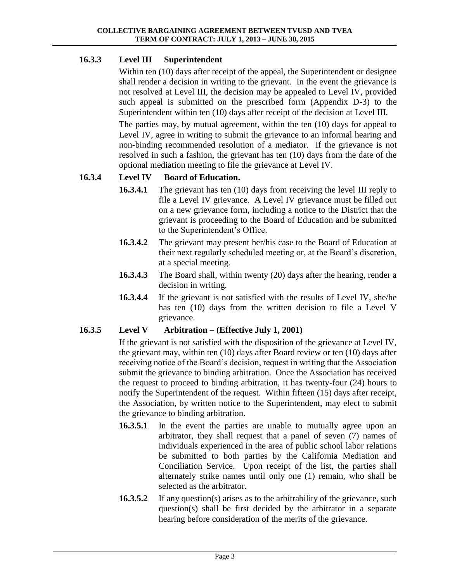## **16.3.3 Level III Superintendent**

Within ten (10) days after receipt of the appeal, the Superintendent or designee shall render a decision in writing to the grievant. In the event the grievance is not resolved at Level III, the decision may be appealed to Level IV, provided such appeal is submitted on the prescribed form (Appendix D-3) to the Superintendent within ten (10) days after receipt of the decision at Level III.

The parties may, by mutual agreement, within the ten (10) days for appeal to Level IV, agree in writing to submit the grievance to an informal hearing and non-binding recommended resolution of a mediator. If the grievance is not resolved in such a fashion, the grievant has ten (10) days from the date of the optional mediation meeting to file the grievance at Level IV.

# **16.3.4 Level IV Board of Education.**

- **16.3.4.1** The grievant has ten (10) days from receiving the level III reply to file a Level IV grievance. A Level IV grievance must be filled out on a new grievance form, including a notice to the District that the grievant is proceeding to the Board of Education and be submitted to the Superintendent's Office.
- **16.3.4.2** The grievant may present her/his case to the Board of Education at their next regularly scheduled meeting or, at the Board's discretion, at a special meeting.
- **16.3.4.3** The Board shall, within twenty (20) days after the hearing, render a decision in writing.
- **16.3.4.4** If the grievant is not satisfied with the results of Level IV, she/he has ten (10) days from the written decision to file a Level V grievance.

## **16.3.5 Level V Arbitration – (Effective July 1, 2001)**

If the grievant is not satisfied with the disposition of the grievance at Level IV, the grievant may, within ten (10) days after Board review or ten (10) days after receiving notice of the Board's decision, request in writing that the Association submit the grievance to binding arbitration. Once the Association has received the request to proceed to binding arbitration, it has twenty-four (24) hours to notify the Superintendent of the request. Within fifteen (15) days after receipt, the Association, by written notice to the Superintendent, may elect to submit the grievance to binding arbitration.

- **16.3.5.1** In the event the parties are unable to mutually agree upon an arbitrator, they shall request that a panel of seven (7) names of individuals experienced in the area of public school labor relations be submitted to both parties by the California Mediation and Conciliation Service. Upon receipt of the list, the parties shall alternately strike names until only one (1) remain, who shall be selected as the arbitrator.
- **16.3.5.2** If any question(s) arises as to the arbitrability of the grievance, such question(s) shall be first decided by the arbitrator in a separate hearing before consideration of the merits of the grievance.